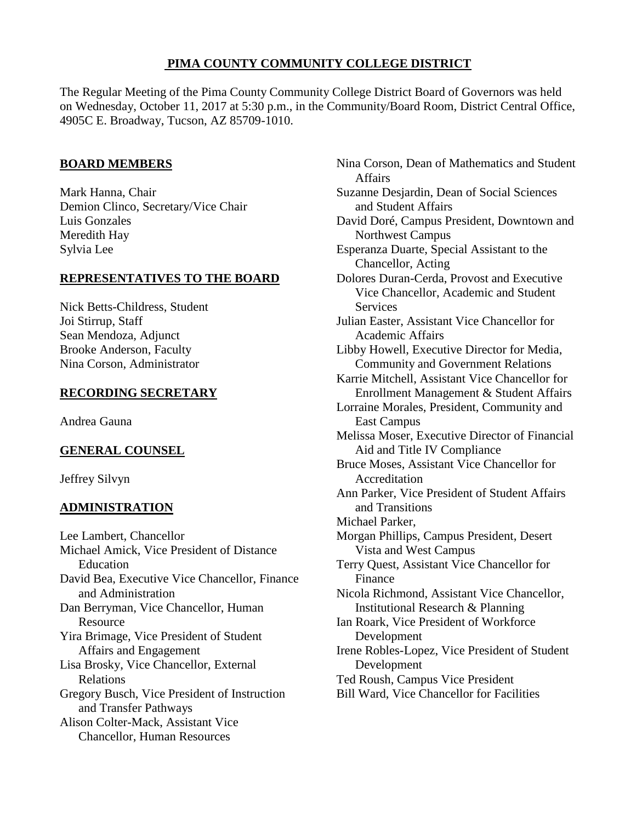# **PIMA COUNTY COMMUNITY COLLEGE DISTRICT**

The Regular Meeting of the Pima County Community College District Board of Governors was held on Wednesday, October 11, 2017 at 5:30 p.m., in the Community/Board Room, District Central Office, 4905C E. Broadway, Tucson, AZ 85709-1010.

## **BOARD MEMBERS**

Mark Hanna, Chair Demion Clinco, Secretary/Vice Chair Luis Gonzales Meredith Hay Sylvia Lee

## **REPRESENTATIVES TO THE BOARD**

Nick Betts-Childress, Student Joi Stirrup, Staff Sean Mendoza, Adjunct Brooke Anderson, Faculty Nina Corson, Administrator

# **RECORDING SECRETARY**

Andrea Gauna

# **GENERAL COUNSEL**

Jeffrey Silvyn

# **ADMINISTRATION**

Lee Lambert, Chancellor Michael Amick, Vice President of Distance Education David Bea, Executive Vice Chancellor, Finance and Administration Dan Berryman, Vice Chancellor, Human Resource Yira Brimage, Vice President of Student Affairs and Engagement Lisa Brosky, Vice Chancellor, External Relations Gregory Busch, Vice President of Instruction and Transfer Pathways Alison Colter-Mack, Assistant Vice Chancellor, Human Resources

Nina Corson, Dean of Mathematics and Student Affairs Suzanne Desjardin, Dean of Social Sciences and Student Affairs David Doré, Campus President, Downtown and Northwest Campus Esperanza Duarte, Special Assistant to the Chancellor, Acting Dolores Duran-Cerda, Provost and Executive Vice Chancellor, Academic and Student **Services** Julian Easter, Assistant Vice Chancellor for Academic Affairs Libby Howell, Executive Director for Media, Community and Government Relations Karrie Mitchell, Assistant Vice Chancellor for Enrollment Management & Student Affairs Lorraine Morales, President, Community and East Campus Melissa Moser, Executive Director of Financial Aid and Title IV Compliance Bruce Moses, Assistant Vice Chancellor for Accreditation Ann Parker, Vice President of Student Affairs and Transitions Michael Parker, Morgan Phillips, Campus President, Desert Vista and West Campus Terry Quest, Assistant Vice Chancellor for Finance Nicola Richmond, Assistant Vice Chancellor, Institutional Research & Planning Ian Roark, Vice President of Workforce Development Irene Robles-Lopez, Vice President of Student Development Ted Roush, Campus Vice President Bill Ward, Vice Chancellor for Facilities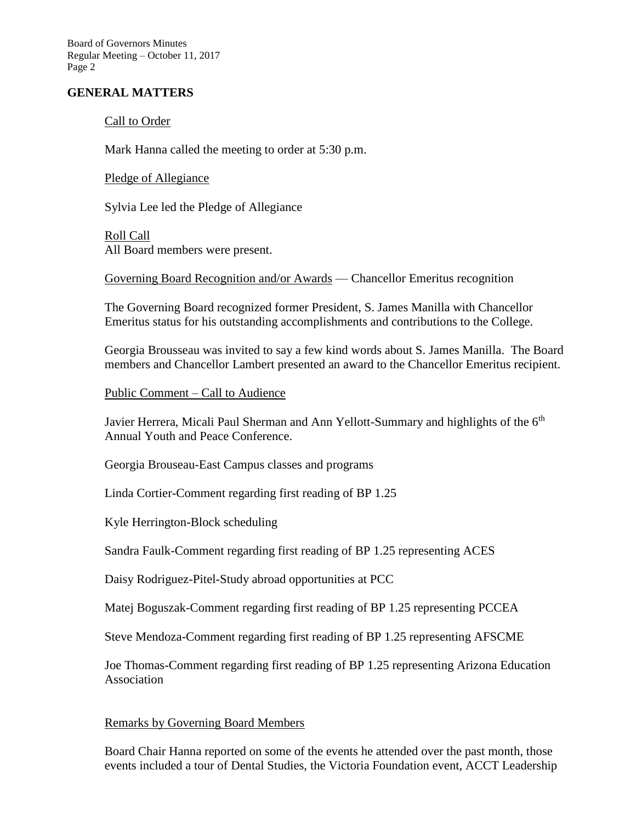Board of Governors Minutes Regular Meeting – October 11, 2017 Page 2

### **GENERAL MATTERS**

#### Call to Order

Mark Hanna called the meeting to order at 5:30 p.m.

Pledge of Allegiance

Sylvia Lee led the Pledge of Allegiance

Roll Call All Board members were present.

Governing Board Recognition and/or Awards — Chancellor Emeritus recognition

The Governing Board recognized former President, S. James Manilla with Chancellor Emeritus status for his outstanding accomplishments and contributions to the College.

Georgia Brousseau was invited to say a few kind words about S. James Manilla. The Board members and Chancellor Lambert presented an award to the Chancellor Emeritus recipient.

Public Comment – Call to Audience

Javier Herrera, Micali Paul Sherman and Ann Yellott-Summary and highlights of the 6<sup>th</sup> Annual Youth and Peace Conference.

Georgia Brouseau-East Campus classes and programs

Linda Cortier-Comment regarding first reading of BP 1.25

Kyle Herrington-Block scheduling

Sandra Faulk-Comment regarding first reading of BP 1.25 representing ACES

Daisy Rodriguez-Pitel-Study abroad opportunities at PCC

Matej Boguszak-Comment regarding first reading of BP 1.25 representing PCCEA

Steve Mendoza-Comment regarding first reading of BP 1.25 representing AFSCME

Joe Thomas-Comment regarding first reading of BP 1.25 representing Arizona Education Association

### Remarks by Governing Board Members

Board Chair Hanna reported on some of the events he attended over the past month, those events included a tour of Dental Studies, the Victoria Foundation event, ACCT Leadership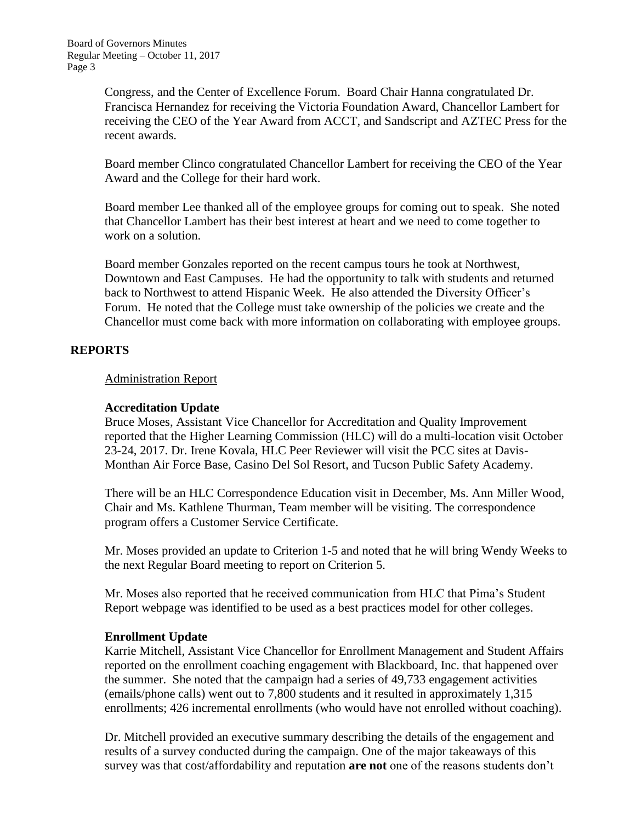Congress, and the Center of Excellence Forum. Board Chair Hanna congratulated Dr. Francisca Hernandez for receiving the Victoria Foundation Award, Chancellor Lambert for receiving the CEO of the Year Award from ACCT, and Sandscript and AZTEC Press for the recent awards.

Board member Clinco congratulated Chancellor Lambert for receiving the CEO of the Year Award and the College for their hard work.

Board member Lee thanked all of the employee groups for coming out to speak. She noted that Chancellor Lambert has their best interest at heart and we need to come together to work on a solution.

Board member Gonzales reported on the recent campus tours he took at Northwest, Downtown and East Campuses. He had the opportunity to talk with students and returned back to Northwest to attend Hispanic Week. He also attended the Diversity Officer's Forum. He noted that the College must take ownership of the policies we create and the Chancellor must come back with more information on collaborating with employee groups.

### **REPORTS**

### Administration Report

## **Accreditation Update**

Bruce Moses, Assistant Vice Chancellor for Accreditation and Quality Improvement reported that the Higher Learning Commission (HLC) will do a multi-location visit October 23-24, 2017. Dr. Irene Kovala, HLC Peer Reviewer will visit the PCC sites at Davis-Monthan Air Force Base, Casino Del Sol Resort, and Tucson Public Safety Academy.

There will be an HLC Correspondence Education visit in December, Ms. Ann Miller Wood, Chair and Ms. Kathlene Thurman, Team member will be visiting. The correspondence program offers a Customer Service Certificate.

Mr. Moses provided an update to Criterion 1-5 and noted that he will bring Wendy Weeks to the next Regular Board meeting to report on Criterion 5.

Mr. Moses also reported that he received communication from HLC that Pima's Student Report webpage was identified to be used as a best practices model for other colleges.

### **Enrollment Update**

Karrie Mitchell, Assistant Vice Chancellor for Enrollment Management and Student Affairs reported on the enrollment coaching engagement with Blackboard, Inc. that happened over the summer. She noted that the campaign had a series of 49,733 engagement activities (emails/phone calls) went out to 7,800 students and it resulted in approximately 1,315 enrollments; 426 incremental enrollments (who would have not enrolled without coaching).

Dr. Mitchell provided an executive summary describing the details of the engagement and results of a survey conducted during the campaign. One of the major takeaways of this survey was that cost/affordability and reputation **are not** one of the reasons students don't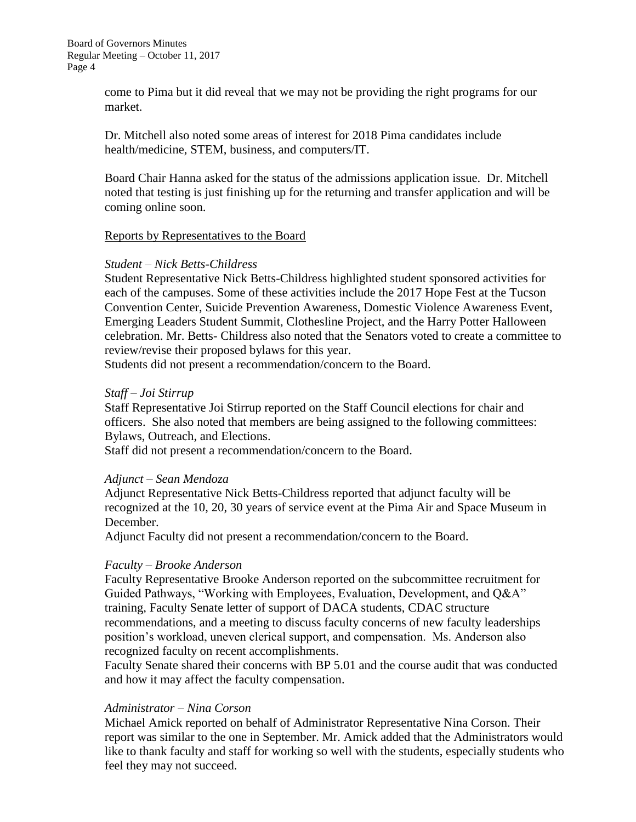come to Pima but it did reveal that we may not be providing the right programs for our market.

Dr. Mitchell also noted some areas of interest for 2018 Pima candidates include health/medicine, STEM, business, and computers/IT.

Board Chair Hanna asked for the status of the admissions application issue. Dr. Mitchell noted that testing is just finishing up for the returning and transfer application and will be coming online soon.

### Reports by Representatives to the Board

#### *Student – Nick Betts-Childress*

Student Representative Nick Betts-Childress highlighted student sponsored activities for each of the campuses. Some of these activities include the 2017 Hope Fest at the Tucson Convention Center, Suicide Prevention Awareness, Domestic Violence Awareness Event, Emerging Leaders Student Summit, Clothesline Project, and the Harry Potter Halloween celebration. Mr. Betts- Childress also noted that the Senators voted to create a committee to review/revise their proposed bylaws for this year.

Students did not present a recommendation/concern to the Board.

### *Staff – Joi Stirrup*

Staff Representative Joi Stirrup reported on the Staff Council elections for chair and officers. She also noted that members are being assigned to the following committees: Bylaws, Outreach, and Elections.

Staff did not present a recommendation/concern to the Board.

### *Adjunct – Sean Mendoza*

Adjunct Representative Nick Betts-Childress reported that adjunct faculty will be recognized at the 10, 20, 30 years of service event at the Pima Air and Space Museum in December.

Adjunct Faculty did not present a recommendation/concern to the Board.

### *Faculty – Brooke Anderson*

Faculty Representative Brooke Anderson reported on the subcommittee recruitment for Guided Pathways, "Working with Employees, Evaluation, Development, and Q&A" training, Faculty Senate letter of support of DACA students, CDAC structure recommendations, and a meeting to discuss faculty concerns of new faculty leaderships position's workload, uneven clerical support, and compensation. Ms. Anderson also recognized faculty on recent accomplishments.

Faculty Senate shared their concerns with BP 5.01 and the course audit that was conducted and how it may affect the faculty compensation.

### *Administrator – Nina Corson*

Michael Amick reported on behalf of Administrator Representative Nina Corson. Their report was similar to the one in September. Mr. Amick added that the Administrators would like to thank faculty and staff for working so well with the students, especially students who feel they may not succeed.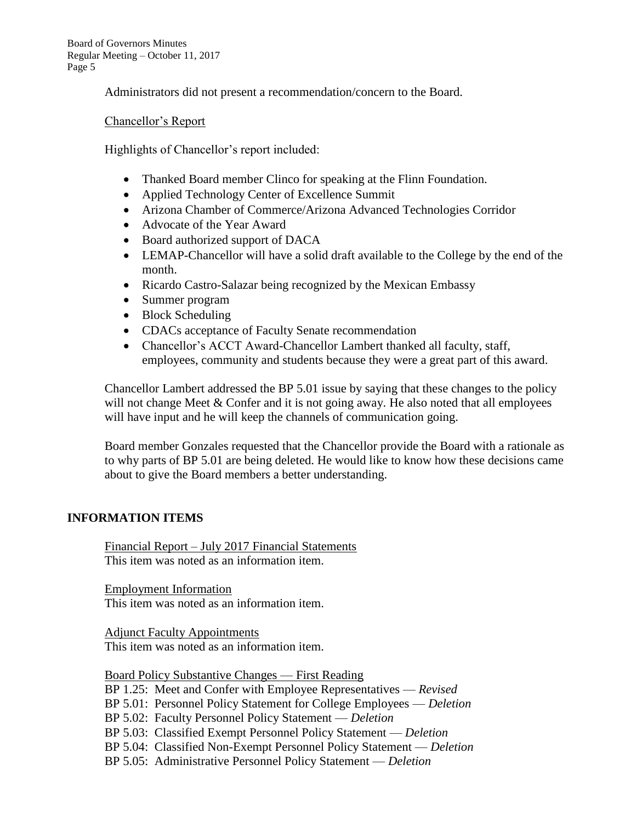Board of Governors Minutes Regular Meeting – October 11, 2017 Page 5

Administrators did not present a recommendation/concern to the Board.

Chancellor's Report

Highlights of Chancellor's report included:

- Thanked Board member Clinco for speaking at the Flinn Foundation.
- Applied Technology Center of Excellence Summit
- Arizona Chamber of Commerce/Arizona Advanced Technologies Corridor
- Advocate of the Year Award
- Board authorized support of DACA
- LEMAP-Chancellor will have a solid draft available to the College by the end of the month.
- Ricardo Castro-Salazar being recognized by the Mexican Embassy
- Summer program
- Block Scheduling
- CDACs acceptance of Faculty Senate recommendation
- Chancellor's ACCT Award-Chancellor Lambert thanked all faculty, staff, employees, community and students because they were a great part of this award.

Chancellor Lambert addressed the BP 5.01 issue by saying that these changes to the policy will not change Meet  $&$  Confer and it is not going away. He also noted that all employees will have input and he will keep the channels of communication going.

Board member Gonzales requested that the Chancellor provide the Board with a rationale as to why parts of BP 5.01 are being deleted. He would like to know how these decisions came about to give the Board members a better understanding.

### **INFORMATION ITEMS**

Financial Report – July 2017 Financial Statements This item was noted as an information item.

Employment Information This item was noted as an information item.

Adjunct Faculty Appointments This item was noted as an information item.

Board Policy Substantive Changes — First Reading

BP 1.25: Meet and Confer with Employee Representatives — *Revised*

BP 5.01: Personnel Policy Statement for College Employees — *Deletion*

BP 5.02: Faculty Personnel Policy Statement — *Deletion*

BP 5.03: Classified Exempt Personnel Policy Statement — *Deletion*

- BP 5.04: Classified Non-Exempt Personnel Policy Statement *Deletion*
- BP 5.05: Administrative Personnel Policy Statement *Deletion*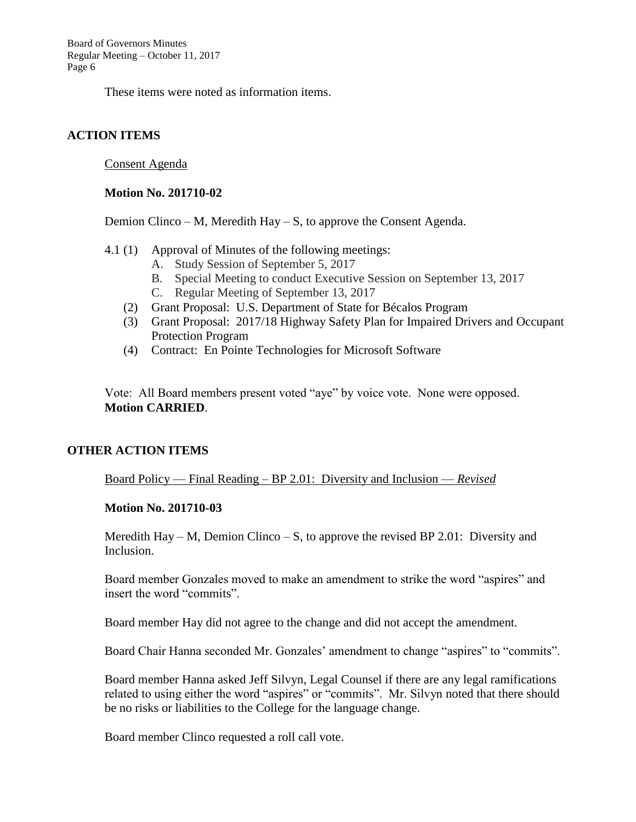Board of Governors Minutes Regular Meeting – October 11, 2017 Page 6

These items were noted as information items.

### **ACTION ITEMS**

Consent Agenda

#### **Motion No. 201710-02**

Demion Clinco – M, Meredith Hay – S, to approve the Consent Agenda.

- 4.1 (1) Approval of Minutes of the following meetings:
	- A. Study Session of September 5, 2017
	- B. Special Meeting to conduct Executive Session on September 13, 2017
	- C. Regular Meeting of September 13, 2017
	- (2) Grant Proposal: U.S. Department of State for Bécalos Program
	- (3) Grant Proposal: 2017/18 Highway Safety Plan for Impaired Drivers and Occupant Protection Program
	- (4) Contract: En Pointe Technologies for Microsoft Software

Vote: All Board members present voted "aye" by voice vote. None were opposed. **Motion CARRIED**.

### **OTHER ACTION ITEMS**

Board Policy — Final Reading – BP 2.01: Diversity and Inclusion — *Revised*

### **Motion No. 201710-03**

Meredith Hay – M, Demion Clinco – S, to approve the revised BP 2.01: Diversity and Inclusion.

Board member Gonzales moved to make an amendment to strike the word "aspires" and insert the word "commits".

Board member Hay did not agree to the change and did not accept the amendment.

Board Chair Hanna seconded Mr. Gonzales' amendment to change "aspires" to "commits".

Board member Hanna asked Jeff Silvyn, Legal Counsel if there are any legal ramifications related to using either the word "aspires" or "commits". Mr. Silvyn noted that there should be no risks or liabilities to the College for the language change.

Board member Clinco requested a roll call vote.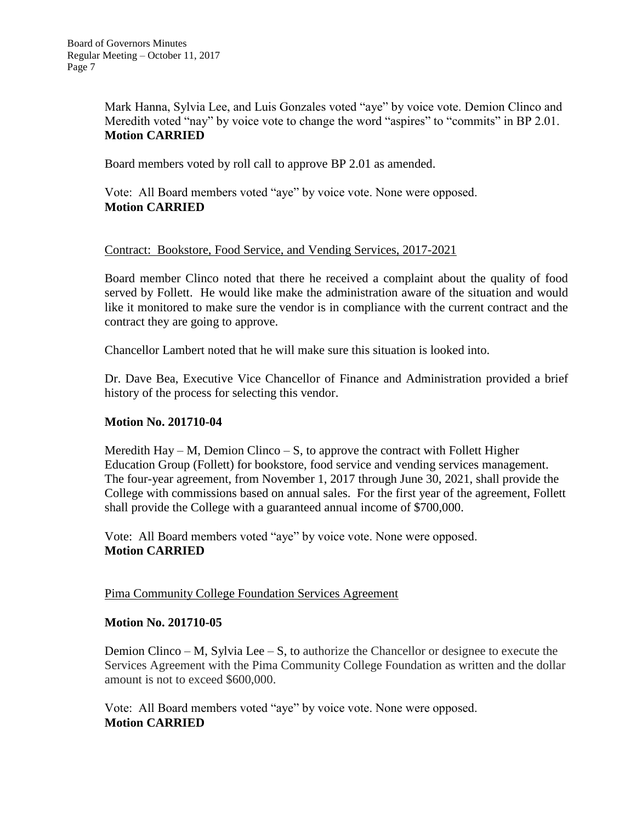Mark Hanna, Sylvia Lee, and Luis Gonzales voted "aye" by voice vote. Demion Clinco and Meredith voted "nay" by voice vote to change the word "aspires" to "commits" in BP 2.01. **Motion CARRIED**

Board members voted by roll call to approve BP 2.01 as amended.

Vote: All Board members voted "aye" by voice vote. None were opposed. **Motion CARRIED**

### Contract: Bookstore, Food Service, and Vending Services, 2017-2021

Board member Clinco noted that there he received a complaint about the quality of food served by Follett. He would like make the administration aware of the situation and would like it monitored to make sure the vendor is in compliance with the current contract and the contract they are going to approve.

Chancellor Lambert noted that he will make sure this situation is looked into.

Dr. Dave Bea, Executive Vice Chancellor of Finance and Administration provided a brief history of the process for selecting this vendor.

### **Motion No. 201710-04**

Meredith Hay – M, Demion Clinco – S, to approve the contract with Follett Higher Education Group (Follett) for bookstore, food service and vending services management. The four-year agreement, from November 1, 2017 through June 30, 2021, shall provide the College with commissions based on annual sales. For the first year of the agreement, Follett shall provide the College with a guaranteed annual income of \$700,000.

Vote: All Board members voted "aye" by voice vote. None were opposed. **Motion CARRIED**

### Pima Community College Foundation Services Agreement

#### **Motion No. 201710-05**

Demion Clinco – M, Sylvia Lee – S, to authorize the Chancellor or designee to execute the Services Agreement with the Pima Community College Foundation as written and the dollar amount is not to exceed \$600,000.

Vote: All Board members voted "aye" by voice vote. None were opposed. **Motion CARRIED**